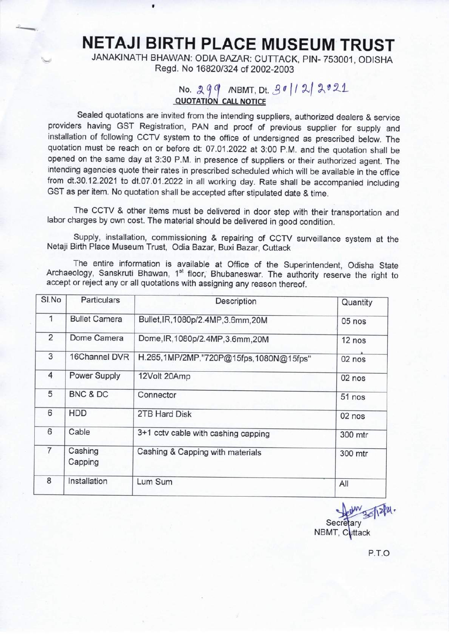NETAJI BIRTH PLACE MUSEUM TRUST

 $\overline{\phantom{0}}$ 

JANAKINATH BHAWAN: ODIA BAZAR: CUTTACK, PIN-753001, ODISHA Regd. No 16820/324 of 2002-2003

## No.  $299$  (NBMT, Dt.  $3012$  2021

Sealed quotations are invited from the intending suppliers, authorized dealers & service providers having GST Registration, PAN and proof of previous supplier for supply and installation of following CCTV system to the office of undersigned as prescribed below. The quotation must be reach on or before dt: 07.01.2022 at 3:00 P.M. and the quotation shall be opened on the same day at 3:30 P.M. in presence of suppliers or their authorized agent. The intending agencies quote their rates in prescribed scheduled which will be available in the office from dt.30.12.2021 to dt.07.01.2022 in all working day. Rate shall be accompanied including GST as per item. No quotation shall be accepted after stipulated date & time.

The CCTV & other items must be delivered in door step with their transportation and labor charges by own cost. The material should be delivered in good condition.

Supply, installation, commissioning & repairing of CCTV surveillance system at the Netaji Birth Place Museum Trust, Odia Bazar, Buxi Bazar, Cuttack

The entire information is available at Office of the Superintendent, Odisha State Archaeology, Sanskruti Bhawan, 1<sup>st</sup> floor, Bhubaneswar. The authority reserve the right to accept or reject any or all quotations with assigning any reason thereof.

| SI.No          | <b>Particulars</b>   | Description                            | Quantity |
|----------------|----------------------|----------------------------------------|----------|
| 1              | <b>Bullet Camera</b> | Bullet, IR, 1080p/2.4MP, 3.6mm, 20M    | 05 nos   |
| 2              | Dome Camera          | Dome, IR, 1080p/2.4MP, 3.6mm, 20M      | 12 nos   |
| 3              | 16Channel DVR        | H.265,1MP/2MP,"720P@15fps,1080N@15fps" | 02 nos   |
| $\overline{4}$ | Power Supply         | 12Volt 20Amp                           | 02 nos   |
| 5              | BNC & DC             | Connector                              | 51 nos   |
| 6              | <b>HDD</b>           | 2TB Hard Disk                          | 02 nos   |
| 6              | Cable                | 3+1 cctv cable with cashing capping    | 300 mtr  |
| $\overline{7}$ | Cashing<br>Capping   | Cashing & Capping with materials       | 300 mtr  |
| 8              | Installation         | Lum Sum                                | All      |

Secretary NBMT, Cuttack